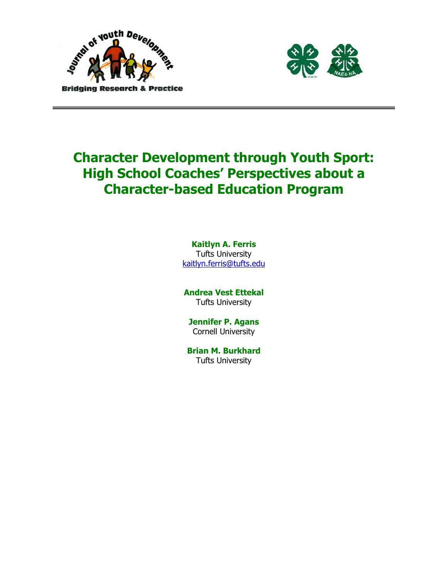



# Character Development through Youth Sport: High School Coaches' Perspectives about a Character-based Education Program

Kaitlyn A. Ferris Tufts University kaitlyn.ferris@tufts.edu

Andrea Vest Ettekal Tufts University

Jennifer P. Agans Cornell University

Brian M. Burkhard Tufts University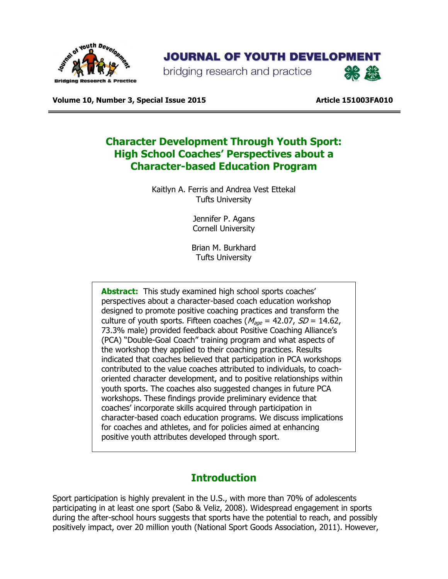

# **JOURNAL OF YOUTH DEVELOPMENT**

bridging research and practice



Volume 10, Number 3, Special Issue 2015 https://www.article 151003FA010

# Character Development Through Youth Sport: High School Coaches' Perspectives about a Character-based Education Program

Kaitlyn A. Ferris and Andrea Vest Ettekal Tufts University

> Jennifer P. Agans Cornell University

Brian M. Burkhard Tufts University

**Abstract:** This study examined high school sports coaches' perspectives about a character-based coach education workshop designed to promote positive coaching practices and transform the culture of youth sports. Fifteen coaches ( $M_{\text{age}} = 42.07$ ,  $SD = 14.62$ , 73.3% male) provided feedback about Positive Coaching Alliance's (PCA) "Double-Goal Coach" training program and what aspects of the workshop they applied to their coaching practices. Results indicated that coaches believed that participation in PCA workshops contributed to the value coaches attributed to individuals, to coachoriented character development, and to positive relationships within youth sports. The coaches also suggested changes in future PCA workshops. These findings provide preliminary evidence that coaches' incorporate skills acquired through participation in character-based coach education programs. We discuss implications for coaches and athletes, and for policies aimed at enhancing positive youth attributes developed through sport.

### Introduction

Sport participation is highly prevalent in the U.S., with more than 70% of adolescents participating in at least one sport (Sabo & Veliz, 2008). Widespread engagement in sports during the after-school hours suggests that sports have the potential to reach, and possibly positively impact, over 20 million youth (National Sport Goods Association, 2011). However,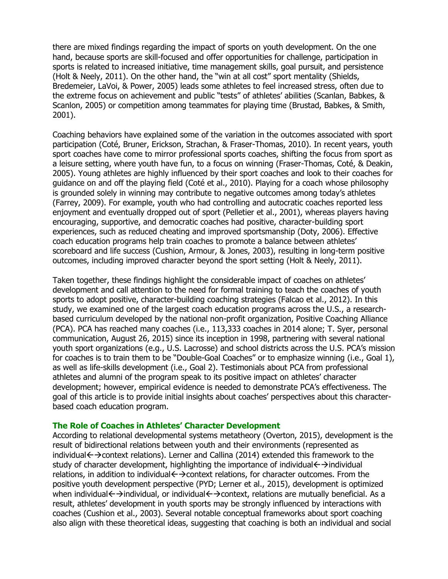there are mixed findings regarding the impact of sports on youth development. On the one hand, because sports are skill-focused and offer opportunities for challenge, participation in sports is related to increased initiative, time management skills, goal pursuit, and persistence (Holt & Neely, 2011). On the other hand, the "win at all cost" sport mentality (Shields, Bredemeier, LaVoi, & Power, 2005) leads some athletes to feel increased stress, often due to the extreme focus on achievement and public "tests" of athletes' abilities (Scanlan, Babkes, & Scanlon, 2005) or competition among teammates for playing time (Brustad, Babkes, & Smith, 2001).

Coaching behaviors have explained some of the variation in the outcomes associated with sport participation (Coté, Bruner, Erickson, Strachan, & Fraser-Thomas, 2010). In recent years, youth sport coaches have come to mirror professional sports coaches, shifting the focus from sport as a leisure setting, where youth have fun, to a focus on winning (Fraser-Thomas, Coté, & Deakin, 2005). Young athletes are highly influenced by their sport coaches and look to their coaches for guidance on and off the playing field (Coté et al., 2010). Playing for a coach whose philosophy is grounded solely in winning may contribute to negative outcomes among today's athletes (Farrey, 2009). For example, youth who had controlling and autocratic coaches reported less enjoyment and eventually dropped out of sport (Pelletier et al., 2001), whereas players having encouraging, supportive, and democratic coaches had positive, character-building sport experiences, such as reduced cheating and improved sportsmanship (Doty, 2006). Effective coach education programs help train coaches to promote a balance between athletes' scoreboard and life success (Cushion, Armour, & Jones, 2003), resulting in long-term positive outcomes, including improved character beyond the sport setting (Holt & Neely, 2011).

Taken together, these findings highlight the considerable impact of coaches on athletes' development and call attention to the need for formal training to teach the coaches of youth sports to adopt positive, character-building coaching strategies (Falcao et al., 2012). In this study, we examined one of the largest coach education programs across the U.S., a researchbased curriculum developed by the national non-profit organization, Positive Coaching Alliance (PCA). PCA has reached many coaches (i.e., 113,333 coaches in 2014 alone; T. Syer, personal communication, August 26, 2015) since its inception in 1998, partnering with several national youth sport organizations (e.g., U.S. Lacrosse) and school districts across the U.S. PCA's mission for coaches is to train them to be "Double-Goal Coaches" or to emphasize winning (i.e., Goal 1), as well as life-skills development (i.e., Goal 2). Testimonials about PCA from professional athletes and alumni of the program speak to its positive impact on athletes' character development; however, empirical evidence is needed to demonstrate PCA's effectiveness. The goal of this article is to provide initial insights about coaches' perspectives about this characterbased coach education program.

#### The Role of Coaches in Athletes' Character Development

According to relational developmental systems metatheory (Overton, 2015), development is the result of bidirectional relations between youth and their environments (represented as individual $\leftrightarrow$  context relations). Lerner and Callina (2014) extended this framework to the study of character development, highlighting the importance of individual $\leftrightarrow$ individual relations, in addition to individual $\leftarrow$  > context relations, for character outcomes. From the positive youth development perspective (PYD; Lerner et al., 2015), development is optimized when individual < →individual, or individual < →context, relations are mutually beneficial. As a result, athletes' development in youth sports may be strongly influenced by interactions with coaches (Cushion et al., 2003). Several notable conceptual frameworks about sport coaching also align with these theoretical ideas, suggesting that coaching is both an individual and social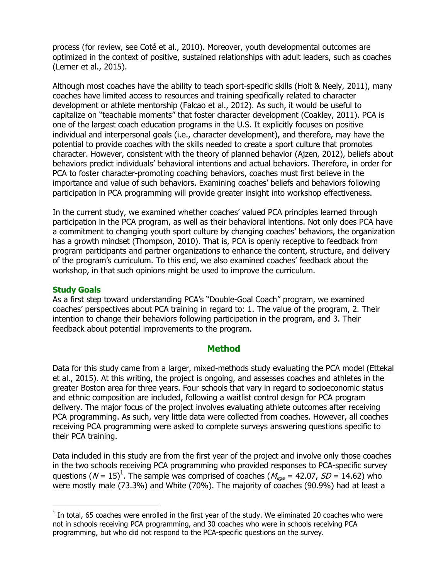process (for review, see Coté et al., 2010). Moreover, youth developmental outcomes are optimized in the context of positive, sustained relationships with adult leaders, such as coaches (Lerner et al., 2015).

Although most coaches have the ability to teach sport-specific skills (Holt & Neely, 2011), many coaches have limited access to resources and training specifically related to character development or athlete mentorship (Falcao et al., 2012). As such, it would be useful to capitalize on "teachable moments" that foster character development (Coakley, 2011). PCA is one of the largest coach education programs in the U.S. It explicitly focuses on positive individual and interpersonal goals (i.e., character development), and therefore, may have the potential to provide coaches with the skills needed to create a sport culture that promotes character. However, consistent with the theory of planned behavior (Ajzen, 2012), beliefs about behaviors predict individuals' behavioral intentions and actual behaviors. Therefore, in order for PCA to foster character-promoting coaching behaviors, coaches must first believe in the importance and value of such behaviors. Examining coaches' beliefs and behaviors following participation in PCA programming will provide greater insight into workshop effectiveness.

In the current study, we examined whether coaches' valued PCA principles learned through participation in the PCA program, as well as their behavioral intentions. Not only does PCA have a commitment to changing youth sport culture by changing coaches' behaviors, the organization has a growth mindset (Thompson, 2010). That is, PCA is openly receptive to feedback from program participants and partner organizations to enhance the content, structure, and delivery of the program's curriculum. To this end, we also examined coaches' feedback about the workshop, in that such opinions might be used to improve the curriculum.

#### Study Goals

-

As a first step toward understanding PCA's "Double-Goal Coach" program, we examined coaches' perspectives about PCA training in regard to: 1. The value of the program, 2. Their intention to change their behaviors following participation in the program, and 3. Their feedback about potential improvements to the program.

#### **Method**

Data for this study came from a larger, mixed-methods study evaluating the PCA model (Ettekal et al., 2015). At this writing, the project is ongoing, and assesses coaches and athletes in the greater Boston area for three years. Four schools that vary in regard to socioeconomic status and ethnic composition are included, following a waitlist control design for PCA program delivery. The major focus of the project involves evaluating athlete outcomes after receiving PCA programming. As such, very little data were collected from coaches. However, all coaches receiving PCA programming were asked to complete surveys answering questions specific to their PCA training.

Data included in this study are from the first year of the project and involve only those coaches in the two schools receiving PCA programming who provided responses to PCA-specific survey questions ( $N = 15$ )<sup>1</sup>. The sample was comprised of coaches ( $M_{age} = 42.07$ ,  $SD = 14.62$ ) who were mostly male (73.3%) and White (70%). The majority of coaches (90.9%) had at least a

 $1$  In total, 65 coaches were enrolled in the first year of the study. We eliminated 20 coaches who were not in schools receiving PCA programming, and 30 coaches who were in schools receiving PCA programming, but who did not respond to the PCA-specific questions on the survey.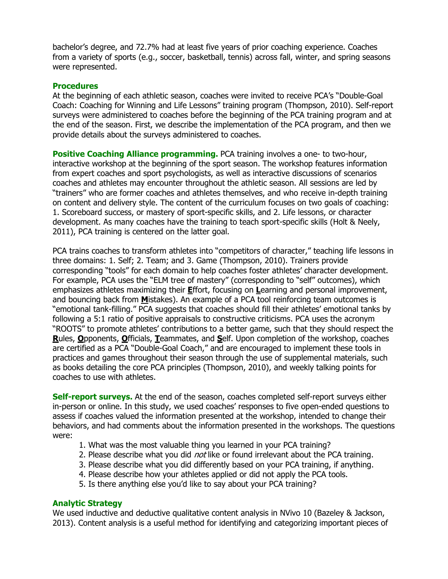bachelor's degree, and 72.7% had at least five years of prior coaching experience. Coaches from a variety of sports (e.g., soccer, basketball, tennis) across fall, winter, and spring seasons were represented.

#### **Procedures**

At the beginning of each athletic season, coaches were invited to receive PCA's "Double-Goal Coach: Coaching for Winning and Life Lessons" training program (Thompson, 2010). Self-report surveys were administered to coaches before the beginning of the PCA training program and at the end of the season. First, we describe the implementation of the PCA program, and then we provide details about the surveys administered to coaches.

**Positive Coaching Alliance programming.** PCA training involves a one- to two-hour, interactive workshop at the beginning of the sport season. The workshop features information from expert coaches and sport psychologists, as well as interactive discussions of scenarios coaches and athletes may encounter throughout the athletic season. All sessions are led by "trainers" who are former coaches and athletes themselves, and who receive in-depth training on content and delivery style. The content of the curriculum focuses on two goals of coaching: 1. Scoreboard success, or mastery of sport-specific skills, and 2. Life lessons, or character development. As many coaches have the training to teach sport-specific skills (Holt & Neely, 2011), PCA training is centered on the latter goal.

PCA trains coaches to transform athletes into "competitors of character," teaching life lessons in three domains: 1. Self; 2. Team; and 3. Game (Thompson, 2010). Trainers provide corresponding "tools" for each domain to help coaches foster athletes' character development. For example, PCA uses the "ELM tree of mastery" (corresponding to "self" outcomes), which emphasizes athletes maximizing their **E**ffort, focusing on Learning and personal improvement, and bouncing back from **M**istakes). An example of a PCA tool reinforcing team outcomes is "emotional tank-filling." PCA suggests that coaches should fill their athletes' emotional tanks by following a 5:1 ratio of positive appraisals to constructive criticisms. PCA uses the acronym "ROOTS" to promote athletes' contributions to a better game, such that they should respect the Rules, Opponents, Officials, Teammates, and Self. Upon completion of the workshop, coaches are certified as a PCA "Double-Goal Coach," and are encouraged to implement these tools in practices and games throughout their season through the use of supplemental materials, such as books detailing the core PCA principles (Thompson, 2010), and weekly talking points for coaches to use with athletes.

**Self-report surveys.** At the end of the season, coaches completed self-report surveys either in-person or online. In this study, we used coaches' responses to five open-ended questions to assess if coaches valued the information presented at the workshop, intended to change their behaviors, and had comments about the information presented in the workshops. The questions were:

- 1. What was the most valuable thing you learned in your PCA training?
- 2. Please describe what you did *not* like or found irrelevant about the PCA training.
- 3. Please describe what you did differently based on your PCA training, if anything.
- 4. Please describe how your athletes applied or did not apply the PCA tools.
- 5. Is there anything else you'd like to say about your PCA training?

#### Analytic Strategy

We used inductive and deductive qualitative content analysis in NVivo 10 (Bazeley & Jackson, 2013). Content analysis is a useful method for identifying and categorizing important pieces of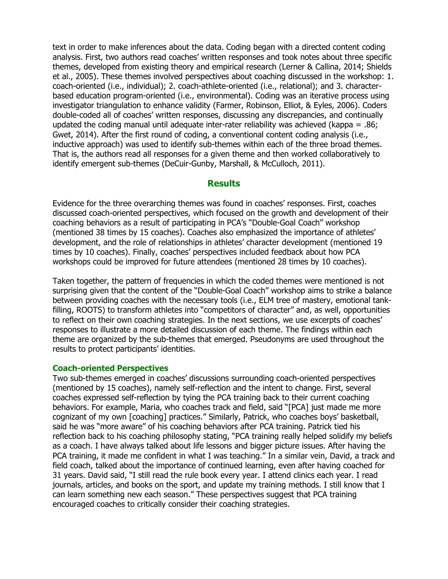text in order to make inferences about the data. Coding began with a directed content coding analysis. First, two authors read coaches' written responses and took notes about three specific themes, developed from existing theory and empirical research (Lerner & Callina, 2014; Shields et al., 2005). These themes involved perspectives about coaching discussed in the workshop: 1. coach-oriented (i.e., individual); 2. coach-athlete-oriented (i.e., relational); and 3. characterbased education program-oriented (i.e., environmental). Coding was an iterative process using investigator triangulation to enhance validity (Farmer, Robinson, Elliot, & Eyles, 2006). Coders double-coded all of coaches' written responses, discussing any discrepancies, and continually updated the coding manual until adequate inter-rater reliability was achieved (kappa = .86; Gwet, 2014). After the first round of coding, a conventional content coding analysis (i.e., inductive approach) was used to identify sub-themes within each of the three broad themes. That is, the authors read all responses for a given theme and then worked collaboratively to identify emergent sub-themes (DeCuir-Gunby, Marshall, & McCulloch, 2011).

#### **Results**

Evidence for the three overarching themes was found in coaches' responses. First, coaches discussed coach-oriented perspectives, which focused on the growth and development of their coaching behaviors as a result of participating in PCA's "Double-Goal Coach" workshop (mentioned 38 times by 15 coaches). Coaches also emphasized the importance of athletes' development, and the role of relationships in athletes' character development (mentioned 19 times by 10 coaches). Finally, coaches' perspectives included feedback about how PCA workshops could be improved for future attendees (mentioned 28 times by 10 coaches).

Taken together, the pattern of frequencies in which the coded themes were mentioned is not surprising given that the content of the "Double-Goal Coach" workshop aims to strike a balance between providing coaches with the necessary tools (i.e., ELM tree of mastery, emotional tankfilling, ROOTS) to transform athletes into "competitors of character" and, as well, opportunities to reflect on their own coaching strategies. In the next sections, we use excerpts of coaches' responses to illustrate a more detailed discussion of each theme. The findings within each theme are organized by the sub-themes that emerged. Pseudonyms are used throughout the results to protect participants' identities.

#### Coach-oriented Perspectives

Two sub-themes emerged in coaches' discussions surrounding coach-oriented perspectives (mentioned by 15 coaches), namely self-reflection and the intent to change. First, several coaches expressed self-reflection by tying the PCA training back to their current coaching behaviors. For example, Maria, who coaches track and field, said "[PCA] just made me more cognizant of my own [coaching] practices." Similarly, Patrick, who coaches boys' basketball, said he was "more aware" of his coaching behaviors after PCA training. Patrick tied his reflection back to his coaching philosophy stating, "PCA training really helped solidify my beliefs as a coach. I have always talked about life lessons and bigger picture issues. After having the PCA training, it made me confident in what I was teaching." In a similar vein, David, a track and field coach, talked about the importance of continued learning, even after having coached for 31 years. David said, "I still read the rule book every year. I attend clinics each year. I read journals, articles, and books on the sport, and update my training methods. I still know that I can learn something new each season." These perspectives suggest that PCA training encouraged coaches to critically consider their coaching strategies.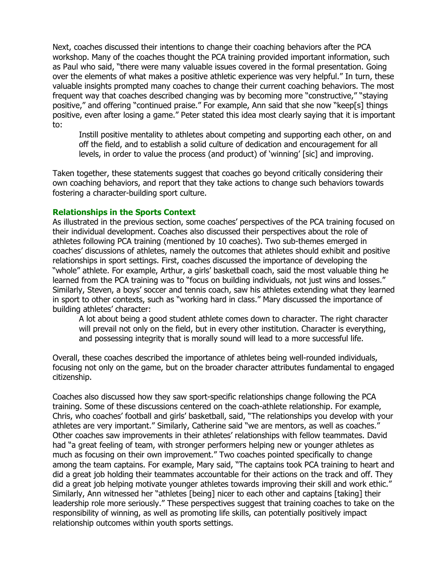Next, coaches discussed their intentions to change their coaching behaviors after the PCA workshop. Many of the coaches thought the PCA training provided important information, such as Paul who said, "there were many valuable issues covered in the formal presentation. Going over the elements of what makes a positive athletic experience was very helpful." In turn, these valuable insights prompted many coaches to change their current coaching behaviors. The most frequent way that coaches described changing was by becoming more "constructive," "staying positive," and offering "continued praise." For example, Ann said that she now "keep[s] things positive, even after losing a game." Peter stated this idea most clearly saying that it is important to:

Instill positive mentality to athletes about competing and supporting each other, on and off the field, and to establish a solid culture of dedication and encouragement for all levels, in order to value the process (and product) of 'winning' [sic] and improving.

Taken together, these statements suggest that coaches go beyond critically considering their own coaching behaviors, and report that they take actions to change such behaviors towards fostering a character-building sport culture.

#### Relationships in the Sports Context

As illustrated in the previous section, some coaches' perspectives of the PCA training focused on their individual development. Coaches also discussed their perspectives about the role of athletes following PCA training (mentioned by 10 coaches). Two sub-themes emerged in coaches' discussions of athletes, namely the outcomes that athletes should exhibit and positive relationships in sport settings. First, coaches discussed the importance of developing the "whole" athlete. For example, Arthur, a girls' basketball coach, said the most valuable thing he learned from the PCA training was to "focus on building individuals, not just wins and losses." Similarly, Steven, a boys' soccer and tennis coach, saw his athletes extending what they learned in sport to other contexts, such as "working hard in class." Mary discussed the importance of building athletes' character:

A lot about being a good student athlete comes down to character. The right character will prevail not only on the field, but in every other institution. Character is everything, and possessing integrity that is morally sound will lead to a more successful life.

Overall, these coaches described the importance of athletes being well-rounded individuals, focusing not only on the game, but on the broader character attributes fundamental to engaged citizenship.

Coaches also discussed how they saw sport-specific relationships change following the PCA training. Some of these discussions centered on the coach-athlete relationship. For example, Chris, who coaches' football and girls' basketball, said, "The relationships you develop with your athletes are very important." Similarly, Catherine said "we are mentors, as well as coaches." Other coaches saw improvements in their athletes' relationships with fellow teammates. David had "a great feeling of team, with stronger performers helping new or younger athletes as much as focusing on their own improvement." Two coaches pointed specifically to change among the team captains. For example, Mary said, "The captains took PCA training to heart and did a great job holding their teammates accountable for their actions on the track and off. They did a great job helping motivate younger athletes towards improving their skill and work ethic." Similarly, Ann witnessed her "athletes [being] nicer to each other and captains [taking] their leadership role more seriously." These perspectives suggest that training coaches to take on the responsibility of winning, as well as promoting life skills, can potentially positively impact relationship outcomes within youth sports settings.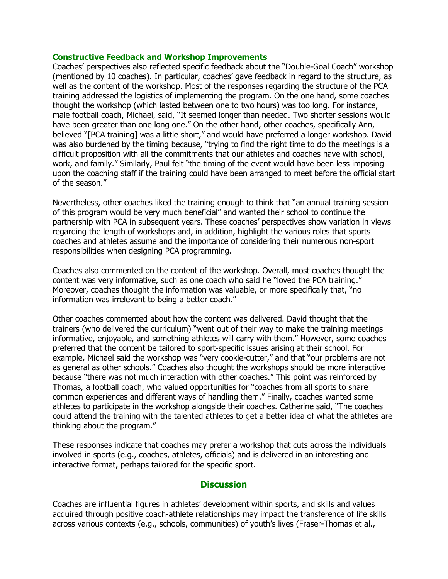#### Constructive Feedback and Workshop Improvements

Coaches' perspectives also reflected specific feedback about the "Double-Goal Coach" workshop (mentioned by 10 coaches). In particular, coaches' gave feedback in regard to the structure, as well as the content of the workshop. Most of the responses regarding the structure of the PCA training addressed the logistics of implementing the program. On the one hand, some coaches thought the workshop (which lasted between one to two hours) was too long. For instance, male football coach, Michael, said, "It seemed longer than needed. Two shorter sessions would have been greater than one long one." On the other hand, other coaches, specifically Ann, believed "[PCA training] was a little short," and would have preferred a longer workshop. David was also burdened by the timing because, "trying to find the right time to do the meetings is a difficult proposition with all the commitments that our athletes and coaches have with school, work, and family." Similarly, Paul felt "the timing of the event would have been less imposing upon the coaching staff if the training could have been arranged to meet before the official start of the season."

Nevertheless, other coaches liked the training enough to think that "an annual training session of this program would be very much beneficial" and wanted their school to continue the partnership with PCA in subsequent years. These coaches' perspectives show variation in views regarding the length of workshops and, in addition, highlight the various roles that sports coaches and athletes assume and the importance of considering their numerous non-sport responsibilities when designing PCA programming.

Coaches also commented on the content of the workshop. Overall, most coaches thought the content was very informative, such as one coach who said he "loved the PCA training." Moreover, coaches thought the information was valuable, or more specifically that, "no information was irrelevant to being a better coach."

Other coaches commented about how the content was delivered. David thought that the trainers (who delivered the curriculum) "went out of their way to make the training meetings informative, enjoyable, and something athletes will carry with them." However, some coaches preferred that the content be tailored to sport-specific issues arising at their school. For example, Michael said the workshop was "very cookie-cutter," and that "our problems are not as general as other schools." Coaches also thought the workshops should be more interactive because "there was not much interaction with other coaches." This point was reinforced by Thomas, a football coach, who valued opportunities for "coaches from all sports to share common experiences and different ways of handling them." Finally, coaches wanted some athletes to participate in the workshop alongside their coaches. Catherine said, "The coaches could attend the training with the talented athletes to get a better idea of what the athletes are thinking about the program."

These responses indicate that coaches may prefer a workshop that cuts across the individuals involved in sports (e.g., coaches, athletes, officials) and is delivered in an interesting and interactive format, perhaps tailored for the specific sport.

#### **Discussion**

Coaches are influential figures in athletes' development within sports, and skills and values acquired through positive coach-athlete relationships may impact the transference of life skills across various contexts (e.g., schools, communities) of youth's lives (Fraser-Thomas et al.,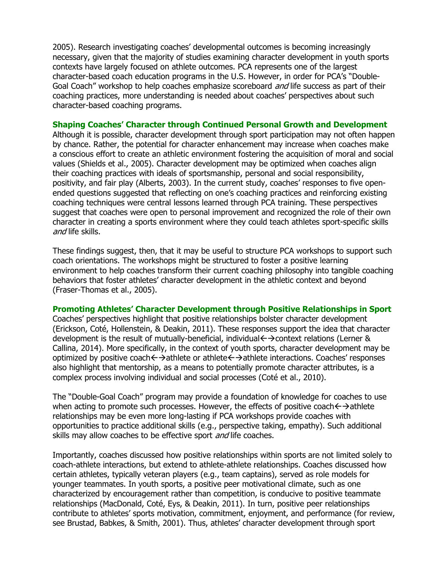2005). Research investigating coaches' developmental outcomes is becoming increasingly necessary, given that the majority of studies examining character development in youth sports contexts have largely focused on athlete outcomes. PCA represents one of the largest character-based coach education programs in the U.S. However, in order for PCA's "Double-Goal Coach" workshop to help coaches emphasize scoreboard *and* life success as part of their coaching practices, more understanding is needed about coaches' perspectives about such character-based coaching programs.

#### Shaping Coaches' Character through Continued Personal Growth and Development

Although it is possible, character development through sport participation may not often happen by chance. Rather, the potential for character enhancement may increase when coaches make a conscious effort to create an athletic environment fostering the acquisition of moral and social values (Shields et al., 2005). Character development may be optimized when coaches align their coaching practices with ideals of sportsmanship, personal and social responsibility, positivity, and fair play (Alberts, 2003). In the current study, coaches' responses to five openended questions suggested that reflecting on one's coaching practices and reinforcing existing coaching techniques were central lessons learned through PCA training. These perspectives suggest that coaches were open to personal improvement and recognized the role of their own character in creating a sports environment where they could teach athletes sport-specific skills and life skills.

These findings suggest, then, that it may be useful to structure PCA workshops to support such coach orientations. The workshops might be structured to foster a positive learning environment to help coaches transform their current coaching philosophy into tangible coaching behaviors that foster athletes' character development in the athletic context and beyond (Fraser-Thomas et al., 2005).

#### Promoting Athletes' Character Development through Positive Relationships in Sport

Coaches' perspectives highlight that positive relationships bolster character development (Erickson, Coté, Hollenstein, & Deakin, 2011). These responses support the idea that character development is the result of mutually-beneficial, individual $\leftrightarrow$  context relations (Lerner & Callina, 2014). More specifically, in the context of youth sports, character development may be optimized by positive coach  $\leftrightarrow$  athlete or athlete  $\leftrightarrow$  athlete interactions. Coaches' responses also highlight that mentorship, as a means to potentially promote character attributes, is a complex process involving individual and social processes (Coté et al., 2010).

The "Double-Goal Coach" program may provide a foundation of knowledge for coaches to use when acting to promote such processes. However, the effects of positive coach $\leftarrow$  > athlete relationships may be even more long-lasting if PCA workshops provide coaches with opportunities to practice additional skills (e.g., perspective taking, empathy). Such additional skills may allow coaches to be effective sport *and* life coaches.

Importantly, coaches discussed how positive relationships within sports are not limited solely to coach-athlete interactions, but extend to athlete-athlete relationships. Coaches discussed how certain athletes, typically veteran players (e.g., team captains), served as role models for younger teammates. In youth sports, a positive peer motivational climate, such as one characterized by encouragement rather than competition, is conducive to positive teammate relationships (MacDonald, Coté, Eys, & Deakin, 2011). In turn, positive peer relationships contribute to athletes' sports motivation, commitment, enjoyment, and performance (for review, see Brustad, Babkes, & Smith, 2001). Thus, athletes' character development through sport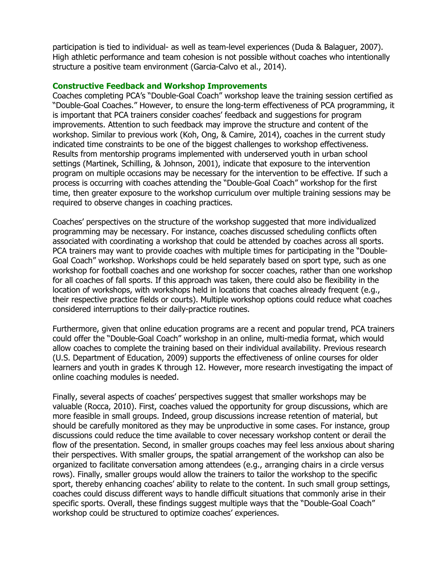participation is tied to individual- as well as team-level experiences (Duda & Balaguer, 2007). High athletic performance and team cohesion is not possible without coaches who intentionally structure a positive team environment (Garcia-Calvo et al., 2014).

#### Constructive Feedback and Workshop Improvements

Coaches completing PCA's "Double-Goal Coach" workshop leave the training session certified as "Double-Goal Coaches." However, to ensure the long-term effectiveness of PCA programming, it is important that PCA trainers consider coaches' feedback and suggestions for program improvements. Attention to such feedback may improve the structure and content of the workshop. Similar to previous work (Koh, Ong, & Camire, 2014), coaches in the current study indicated time constraints to be one of the biggest challenges to workshop effectiveness. Results from mentorship programs implemented with underserved youth in urban school settings (Martinek, Schilling, & Johnson, 2001), indicate that exposure to the intervention program on multiple occasions may be necessary for the intervention to be effective. If such a process is occurring with coaches attending the "Double-Goal Coach" workshop for the first time, then greater exposure to the workshop curriculum over multiple training sessions may be required to observe changes in coaching practices.

Coaches' perspectives on the structure of the workshop suggested that more individualized programming may be necessary. For instance, coaches discussed scheduling conflicts often associated with coordinating a workshop that could be attended by coaches across all sports. PCA trainers may want to provide coaches with multiple times for participating in the "Double-Goal Coach" workshop. Workshops could be held separately based on sport type, such as one workshop for football coaches and one workshop for soccer coaches, rather than one workshop for all coaches of fall sports. If this approach was taken, there could also be flexibility in the location of workshops, with workshops held in locations that coaches already frequent (e.g., their respective practice fields or courts). Multiple workshop options could reduce what coaches considered interruptions to their daily-practice routines.

Furthermore, given that online education programs are a recent and popular trend, PCA trainers could offer the "Double-Goal Coach" workshop in an online, multi-media format, which would allow coaches to complete the training based on their individual availability. Previous research (U.S. Department of Education, 2009) supports the effectiveness of online courses for older learners and youth in grades K through 12. However, more research investigating the impact of online coaching modules is needed.

Finally, several aspects of coaches' perspectives suggest that smaller workshops may be valuable (Rocca, 2010). First, coaches valued the opportunity for group discussions, which are more feasible in small groups. Indeed, group discussions increase retention of material, but should be carefully monitored as they may be unproductive in some cases. For instance, group discussions could reduce the time available to cover necessary workshop content or derail the flow of the presentation. Second, in smaller groups coaches may feel less anxious about sharing their perspectives. With smaller groups, the spatial arrangement of the workshop can also be organized to facilitate conversation among attendees (e.g., arranging chairs in a circle versus rows). Finally, smaller groups would allow the trainers to tailor the workshop to the specific sport, thereby enhancing coaches' ability to relate to the content. In such small group settings, coaches could discuss different ways to handle difficult situations that commonly arise in their specific sports. Overall, these findings suggest multiple ways that the "Double-Goal Coach" workshop could be structured to optimize coaches' experiences.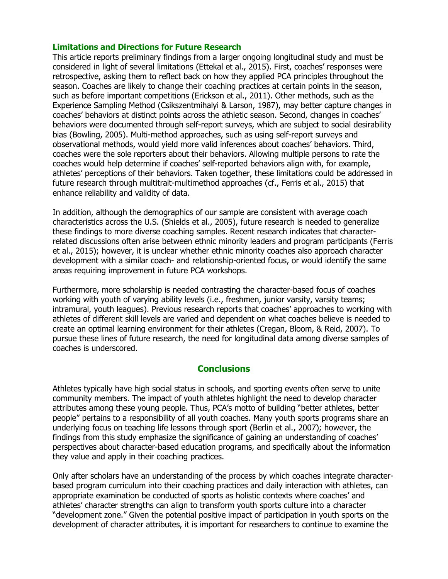#### Limitations and Directions for Future Research

This article reports preliminary findings from a larger ongoing longitudinal study and must be considered in light of several limitations (Ettekal et al., 2015). First, coaches' responses were retrospective, asking them to reflect back on how they applied PCA principles throughout the season. Coaches are likely to change their coaching practices at certain points in the season, such as before important competitions (Erickson et al., 2011). Other methods, such as the Experience Sampling Method (Csikszentmihalyi & Larson, 1987), may better capture changes in coaches' behaviors at distinct points across the athletic season. Second, changes in coaches' behaviors were documented through self-report surveys, which are subject to social desirability bias (Bowling, 2005). Multi-method approaches, such as using self-report surveys and observational methods, would yield more valid inferences about coaches' behaviors. Third, coaches were the sole reporters about their behaviors. Allowing multiple persons to rate the coaches would help determine if coaches' self-reported behaviors align with, for example, athletes' perceptions of their behaviors. Taken together, these limitations could be addressed in future research through multitrait-multimethod approaches (cf., Ferris et al., 2015) that enhance reliability and validity of data.

In addition, although the demographics of our sample are consistent with average coach characteristics across the U.S. (Shields et al., 2005), future research is needed to generalize these findings to more diverse coaching samples. Recent research indicates that characterrelated discussions often arise between ethnic minority leaders and program participants (Ferris et al., 2015); however, it is unclear whether ethnic minority coaches also approach character development with a similar coach- and relationship-oriented focus, or would identify the same areas requiring improvement in future PCA workshops.

Furthermore, more scholarship is needed contrasting the character-based focus of coaches working with youth of varying ability levels (i.e., freshmen, junior varsity, varsity teams; intramural, youth leagues). Previous research reports that coaches' approaches to working with athletes of different skill levels are varied and dependent on what coaches believe is needed to create an optimal learning environment for their athletes (Cregan, Bloom, & Reid, 2007). To pursue these lines of future research, the need for longitudinal data among diverse samples of coaches is underscored.

#### **Conclusions**

Athletes typically have high social status in schools, and sporting events often serve to unite community members. The impact of youth athletes highlight the need to develop character attributes among these young people. Thus, PCA's motto of building "better athletes, better people" pertains to a responsibility of all youth coaches. Many youth sports programs share an underlying focus on teaching life lessons through sport (Berlin et al., 2007); however, the findings from this study emphasize the significance of gaining an understanding of coaches' perspectives about character-based education programs, and specifically about the information they value and apply in their coaching practices.

Only after scholars have an understanding of the process by which coaches integrate characterbased program curriculum into their coaching practices and daily interaction with athletes, can appropriate examination be conducted of sports as holistic contexts where coaches' and athletes' character strengths can align to transform youth sports culture into a character "development zone." Given the potential positive impact of participation in youth sports on the development of character attributes, it is important for researchers to continue to examine the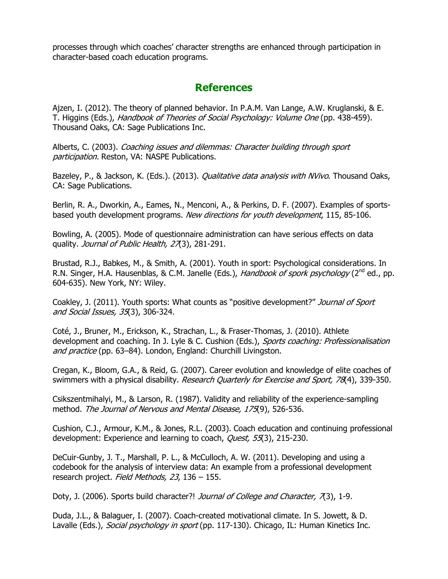processes through which coaches' character strengths are enhanced through participation in character-based coach education programs.

# **References**

Ajzen, I. (2012). The theory of planned behavior. In P.A.M. Van Lange, A.W. Kruglanski, & E. T. Higgins (Eds.), Handbook of Theories of Social Psychology: Volume One (pp. 438-459). Thousand Oaks, CA: Sage Publications Inc.

Alberts, C. (2003). Coaching issues and dilemmas: Character building through sport participation. Reston, VA: NASPE Publications.

Bazeley, P., & Jackson, K. (Eds.). (2013). *Qualitative data analysis with NVivo*. Thousand Oaks, CA: Sage Publications.

Berlin, R. A., Dworkin, A., Eames, N., Menconi, A., & Perkins, D. F. (2007). Examples of sportsbased youth development programs. New directions for youth development, 115, 85-106.

Bowling, A. (2005). Mode of questionnaire administration can have serious effects on data quality. Journal of Public Health, 27(3), 281-291.

Brustad, R.J., Babkes, M., & Smith, A. (2001). Youth in sport: Psychological considerations. In R.N. Singer, H.A. Hausenblas, & C.M. Janelle (Eds.), Handbook of spork psychology (2<sup>nd</sup> ed., pp. 604-635). New York, NY: Wiley.

Coakley, J. (2011). Youth sports: What counts as "positive development?" Journal of Sport and Social Issues, 35(3), 306-324.

Coté, J., Bruner, M., Erickson, K., Strachan, L., & Fraser-Thomas, J. (2010). Athlete development and coaching. In J. Lyle & C. Cushion (Eds.), Sports coaching: Professionalisation and practice (pp. 63–84). London, England: Churchill Livingston.

Cregan, K., Bloom, G.A., & Reid, G. (2007). Career evolution and knowledge of elite coaches of swimmers with a physical disability. Research Quarterly for Exercise and Sport, 78(4), 339-350.

Csikszentmihalyi, M., & Larson, R. (1987). Validity and reliability of the experience-sampling method. The Journal of Nervous and Mental Disease, 175(9), 526-536.

Cushion, C.J., Armour, K.M., & Jones, R.L. (2003). Coach education and continuing professional development: Experience and learning to coach, Quest, 55(3), 215-230.

DeCuir-Gunby, J. T., Marshall, P. L., & McCulloch, A. W. (2011). Developing and using a codebook for the analysis of interview data: An example from a professional development research project. Field Methods, 23, 136 - 155.

Doty, J. (2006). Sports build character?! Journal of College and Character, 7(3), 1-9.

Duda, J.L., & Balaguer, I. (2007). Coach-created motivational climate. In S. Jowett, & D. Lavalle (Eds.), Social psychology in sport (pp. 117-130). Chicago, IL: Human Kinetics Inc.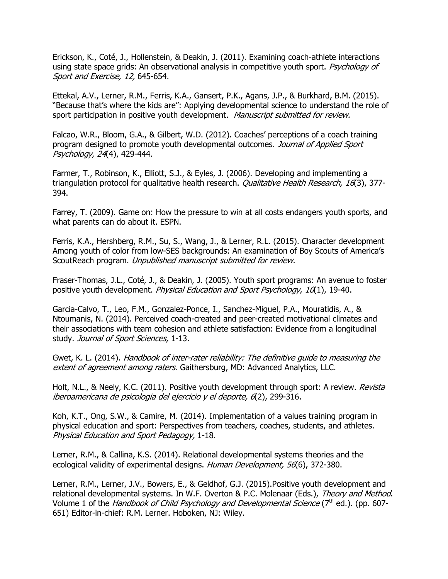Erickson, K., Coté, J., Hollenstein, & Deakin, J. (2011). Examining coach-athlete interactions using state space grids: An observational analysis in competitive youth sport. *Psychology of* Sport and Exercise, 12, 645-654.

Ettekal, A.V., Lerner, R.M., Ferris, K.A., Gansert, P.K., Agans, J.P., & Burkhard, B.M. (2015). "Because that's where the kids are": Applying developmental science to understand the role of sport participation in positive youth development. Manuscript submitted for review.

Falcao, W.R., Bloom, G.A., & Gilbert, W.D. (2012). Coaches' perceptions of a coach training program designed to promote youth developmental outcomes. Journal of Applied Sport Psychology, 24(4), 429-444.

Farmer, T., Robinson, K., Elliott, S.J., & Eyles, J. (2006). Developing and implementing a triangulation protocol for qualitative health research. *Qualitative Health Research, 16*(3), 377-394.

Farrey, T. (2009). Game on: How the pressure to win at all costs endangers youth sports, and what parents can do about it. ESPN.

Ferris, K.A., Hershberg, R.M., Su, S., Wang, J., & Lerner, R.L. (2015). Character development Among youth of color from low-SES backgrounds: An examination of Boy Scouts of America's ScoutReach program. Unpublished manuscript submitted for review.

Fraser-Thomas, J.L., Coté, J., & Deakin, J. (2005). Youth sport programs: An avenue to foster positive youth development. *Physical Education and Sport Psychology, 10*(1), 19-40.

Garcia-Calvo, T., Leo, F.M., Gonzalez-Ponce, I., Sanchez-Miguel, P.A., Mouratidis, A., & Ntoumanis, N. (2014). Perceived coach-created and peer-created motivational climates and their associations with team cohesion and athlete satisfaction: Evidence from a longitudinal study. Journal of Sport Sciences, 1-13.

Gwet, K. L. (2014). Handbook of inter-rater reliability: The definitive guide to measuring the extent of agreement among raters. Gaithersburg, MD: Advanced Analytics, LLC.

Holt, N.L., & Neely, K.C. (2011). Positive youth development through sport: A review. Revista iberoamericana de psicologia del ejercicio y el deporte, 6(2), 299-316.

Koh, K.T., Ong, S.W., & Camire, M. (2014). Implementation of a values training program in physical education and sport: Perspectives from teachers, coaches, students, and athletes. Physical Education and Sport Pedagogy, 1-18.

Lerner, R.M., & Callina, K.S. (2014). Relational developmental systems theories and the ecological validity of experimental designs. Human Development, 56(6), 372-380.

Lerner, R.M., Lerner, J.V., Bowers, E., & Geldhof, G.J. (2015).Positive youth development and relational developmental systems. In W.F. Overton & P.C. Molenaar (Eds.), Theory and Method. Volume 1 of the *Handbook of Child Psychology and Developmental Science* ( $7<sup>th</sup>$  ed.). (pp. 607-651) Editor-in-chief: R.M. Lerner. Hoboken, NJ: Wiley.